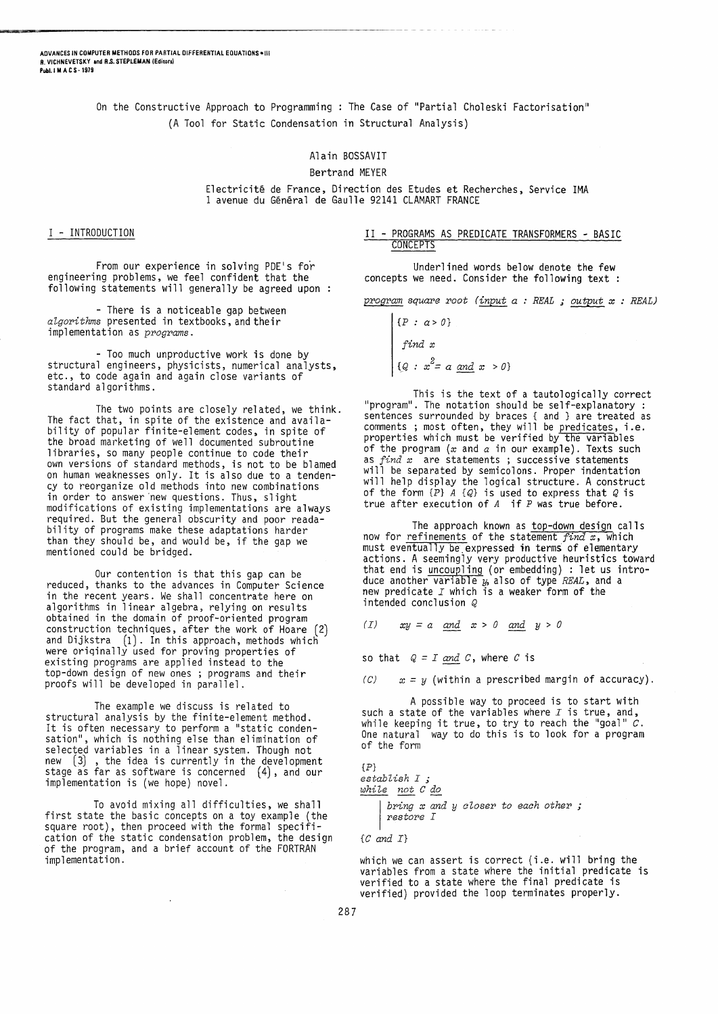On the Constructive Approach to Programming: The Case of "Partial Choleski Factorisation" (A Tool for Static Condensation in Structural Analysis)

# Alain BOSSAVIT

### Bertrand MEYER

Electricité de France, Direction des Etudes et Recherches, Service IMA 1 avenue du Général de Gaulle 92141 CLAMART FRANCE

 $\mathbf{I}$ 

## I - INTRODUCTION

From our experience in solving PDE's for englneerlng problems, we feel confident that the following statements will generally be agreed upon

- There is a noticeable gap between *aZgorithms* presented in textbooks, and their implementation as *programs.* 

- Too much unproductive work is done by structural engineers, physicists, numerical analysts, etc., to code again and again close variants of standard algorithms.

The two points are closely related, we think. The fact that, in spite of the existence and availability of popular finite-element codes, in spite of the broad marketing of well documented subroutine libraries, so many people continue to code their own versions of standard methods, is not to be blamed on human weaknesses only. It is also due to a tendency to reorganize old methods into new combinations in order to answer new questions. Thus, slight modifications of existing implementations are always required. But the general obscurity and poor readability of programs make these adaptations harder than they should be, and would be, if the gap we mentioned could be bridged.

Our contention is that this gap can be reduced, thanks to the advances in Computer Science in the recent years. We shall concentrate here on algorithms in linear algebra, relying on results obtained in the domain of proof-oriented program  $construction$  techniques, after the work of Hoare  $(2)$ and Dijkstra (1). In this approach, methods which were originally used for proving properties of existing programs are applied instead to the top-down design of new ones ; programs and their proofs will be developed in parallel.

The example we discuss is related to structural analysis by the finite-element method. It is often necessary to perform a "static condensation", which is nothing else than elimination of selected variables in a linear system. Though not  $new$   $(3)$ , the idea is currently in the development stage as far as software is concerned (4), and our implementation is (we hope) novel.

To avoid mixing all difficulties, we shall first state the basic concepts on a toy example (the square root), then proceed with the formal specification of the static condensation problem, the design of the program, and a brief account of the FORTRAN implementation.

## II - PROGRAMS AS PREDICATE TRANSFORMERS - BASIC CONCEPTS

Underlined words below denote the few concepts we need. Consider the following text :

*program square* root *(input a* : *REAL* ; *output x* : *REAL)* 

$$
\begin{cases} \{P : a > 0\} \\ \text{find } x \\ \{Q : x^2 = a \text{ and } x > 0\} \end{cases}
$$

This is the text of a tautologically correct "program". The notation should be self-explanatory sentences surrounded by braces { and } are treated as comments; most often, they will be predicates, i.e. properties which must be verified by the var1ables of the program  $(x \text{ and } a \text{ in our example})$ . Texts such as  $find~x$  are statements; successive statements will be separated by semicolons. Proper indentation will help display the logical structure. A construct of the form *{P} A {Q}* is used to express that *Q* is true after execution of  $A$  if  $P$  was true before.

The approach known as top-down design calls now for <u>refinements</u> of the statement *find* x, which<br>must eventually be expressed in terms of elementary actions. A seemingly very productive heuristics toward that end is uncoupling (or embedding) : let us introduce another variable  $y$ , also of type  $REAL$ , and a new predicate  $I$  which is a weaker form of the intended conclusion *Q* 

(*I*)  $xy = a$  and  $x > 0$  and  $y > 0$ 

so that  $Q = I$  *and C*, where *C* is

 $\mathcal{C}$   $x = y$  (within a prescribed margin of accuracy).

A possible way to proceed is to start with such a state of the variables where  $I$  is true, and, while keeping it true, to try to reach the "goal"  $\tilde{C}$ . One natural way to do this is to look for a program of the form

{P} *establish* I ; *whiZ.e not* C *do*  I *bring x and y oZoser to eaoh other ; restore* I

*{C and I}* 

which we can assert is correct (i.e. will bring the variables from a state where the initial predicate is verified to a state where the final predicate is verified) provided the loop terminates properly.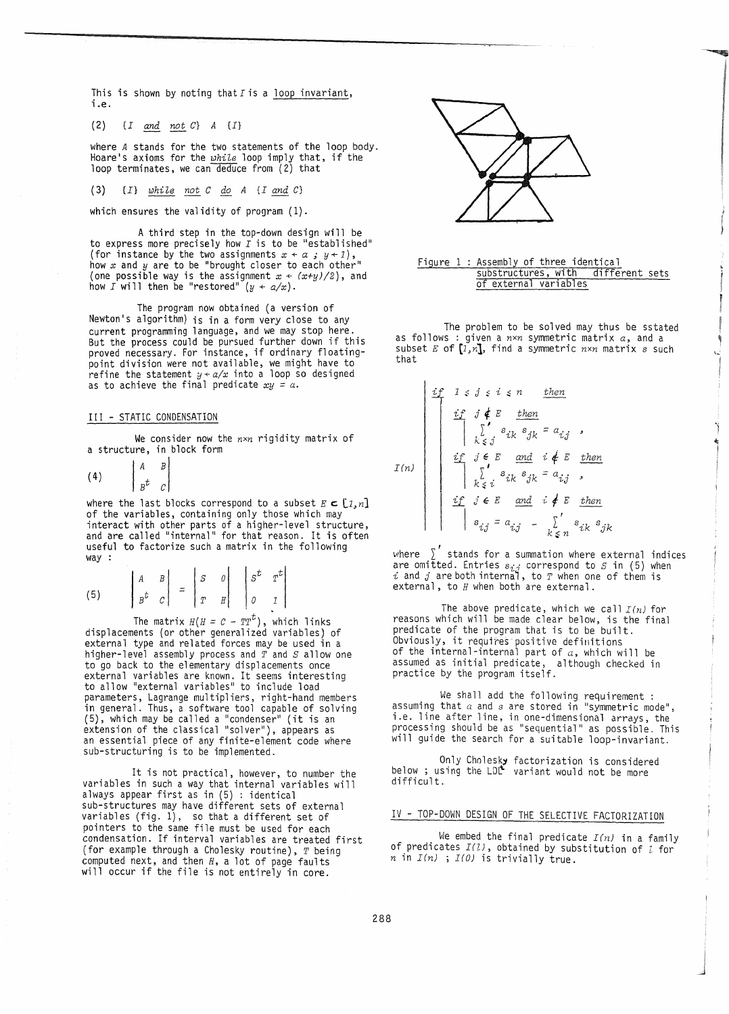This is shown by noting that  $I$  is a loop invariant, i.e.

*(2) {I and not C} A* {I}

where *A* stands for the two statements of the loop body. Hoare's axioms for the *while* loop imply that, if the loop terminates, we can deduce from (2) that

(3) {I} *while not C do A {I and C}* 

which ensures the validity of program  $(1)$ .

A third step in the top-down design will be to express more precisely how  $I$  is to be "established" (for instance by the two assignments  $x + a$ ;  $y + 1$ ), how  $x$  and  $y$  are to be "brought closer to each other" (one possible way is the assignment  $x \leftarrow (x+y)/2$ ), and how *I* will then be "restored"  $(y + a/x)$ .

The program now obtained (a version of Newton's algorithm) is in a form very close to any current programming language, and we may stop here. But the process could be pursued further down if this proved necessary. For instance, if ordinary floatingpoint division were not available, we might have to refine the statement  $y + a/x$  into a loop so designed as to achieve the final predicate  $xy = a$ .

## III - STATIC CONDENSATION

We consider now the *nxn* rigidity matrix of a structure, in block form

(4)  $\begin{bmatrix} A & B \\ B^t & C \end{bmatrix}$ 

where the last blocks correspond to a subset  $E \subset [1,n]$ of the variables, containing only those which may interact with other parts of a higher-level structure, and are called "internal" for that reason. It is often useful to factorize such a matrix in the following way :

(5) 
$$
\begin{vmatrix} A & B \\ B^t & C \end{vmatrix} = \begin{vmatrix} S & 0 \\ T & H \end{vmatrix} \begin{vmatrix} S^t & T^t \\ 0 & I \end{vmatrix}
$$

The matrix  $H(H = C - TT^{t})$ , which links displacements (or other generalized variables) of external type and related forces may be used in a higher-level assembly process and *T* and *S* allow one to go back to the elementary displacements once external variables are known. It seems interesting to allow "external variables" to include load parameters, Lagrange multipliers, right-hand members in general. Thus, a software tool capable of solving (5), which may be called a "condenser" (it is an extension of the classical "solver "), appears as an essential piece of any finite-element code where sub-structuring is to be implemented.

It is not practical, however, to number the variables in such a way that internal variables will always appear first as in (5) : identical sub-structures may have different sets of external variables  $(fig. 1)$ , so that a different set of pointers to the same file must be used for each condensation. If interval variables are treated first (for example through a Cholesky routine), *T* being computed next, and then *H,* a lot of page faults will occur if the file is not entirely in core.



### Figure 1 : Assembly of three identical substructures, with different sets of external variables

The problem to be solved may thus be sstated as follows: given a *nxn* symmetric matrix *a,* and a subset *E* of  $[i, n]$ , find a symmetric  $n \times n$  matrix  $s$  such that

$$
I(n)
$$
\n
$$
\begin{bmatrix}\n\begin{array}{c}\nif \quad 1 \leq j \leq i \leq n \\
\hline\n\end{array} & \begin{array}{c}\nif \quad j \notin E \\
\hline\n\end{array} & \begin{array}{c}\nif \quad j \notin E \\
\hline\n\end{array} & \begin{array}{c}\nif \quad j \in E \\
\hline\n\end{array} & \begin{array}{c}\nif \quad j \in E \\
\hline\n\end{array} & \begin{array}{c}\nif \quad j \in E \\
\hline\n\end{array} & \begin{array}{c}\nif \quad j \in E \\
\hline\n\end{array} & \begin{array}{c}\nif \quad j \in E \\
\hline\n\end{array} & \begin{array}{c}\nif \quad j \in E \\
\hline\n\end{array} & \begin{array}{c}\nif \quad j \in E \\
\hline\n\end{array} & \begin{array}{c}\nif \quad j \in E \\
\hline\n\end{array} & \begin{array}{c}\nif \quad j \in E \\
\hline\n\end{array} & \begin{array}{c}\nif \quad j \in E \\
\hline\n\end{array} & \begin{array}{c}\nif \quad j \in E \\
\hline\n\end{array} & \begin{array}{c}\nif \quad j \in E \\
\hline\n\end{array} & \begin{array}{c}\nif \quad j \in E \\
\hline\n\end{array} & \begin{array}{c}\nif \quad j \in E \\
\hline\n\end{array} & \begin{array}{c}\nif \quad j \in E \\
\hline\n\end{array} & \begin{array}{c}\nif \quad j \in E \\
\hline\n\end{array} & \begin{array}{c}\nif \quad j \in E \\
\hline\n\end{array} & \begin{array}{c}\nif \quad j \in E \\
\hline\n\end{array} & \begin{array}{c}\nif \quad j \in E \\
\hline\n\end{array} & \begin{array}{c}\nif \quad j \in E \\
\hline\n\end{array} & \begin{array}{c}\nif \quad j \in E \\
\hline\n\end{array} & \begin{array}{c}\nif \quad j \in E \\
\hline\n\end{array} & \begin{array}{c}\nif \quad j \in E \\
\hline\n\end{array} & \begin{array}{c}\nif \quad j \in E \\
\hline\n\end{array} & \begin{array}{c}\nif \quad j \in E \\
\hline\n\end{array} & \begin{
$$

 $\mathbf{I}$ 

, ~\!here *L* stands for a summation where external indices are omitted. Entries  $s_{i,j}$  correspond to  $S$  in (5) when  $i$  and  $j$  are both internal, to  $T$  when one of them is external, to *H* when both are external.

The above predicate, which we call *I(n)* for reasons which will be made clear below, is the final predicate of the program that is to be built. Obviously, it requires positive definitions of the internal-internal part of  $a$ , which will be assumed as initial predicate, although checked in practice by the program itself.

We shall add the following requirement : assuming that  $a$  and  $s$  are stored in "symmetric mode" i.e. line after line, in one-dimensional arrays, the processing should be as "sequential" as possible. This will guide the search for a suitable loop-invariant.

Only Cholesky factorization is considered below ; using the LDL variant would not be more difficult .

# IV - TOP-DOWN DESIGN OF THE SELECTIVE FACTORIZATION

We embed the final predicate *I(n)* in a family of.predicates *I(Z),* obtained by substitution of *l* for n in  $I(n)$ ;  $I(0)$  is trivially true.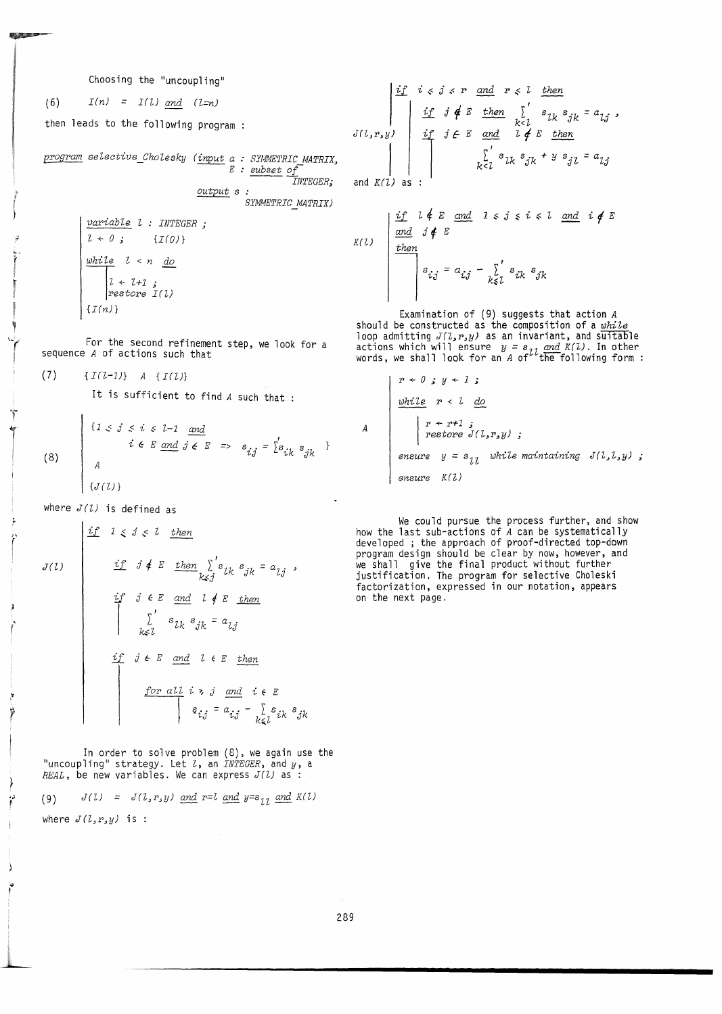Choosing the "uncoupling"

 $I(n) = I(1)$  and  $(l=n)$  $(6)$ 

then leads to the following program :

program selective\_Cholesky (input a : SYMMETRIC MATRIX,  $E: subset of$ *INTEGER;* 

output s : SYMMETRIC\_MATRIX)

 $variable 1 : INTEGR;$  $l + 0$ ;  $\{I(0)\}\)$  $white$   $l < n$  do  $l \leftarrow l+1$ ;<br>restore  $I(l)$  $\{I(n)\}$ 

For the second refinement step, we look for a sequence A of actions such that

(7) 
$$
\{I(L-1)\}\quad A\{I(L)\}\
$$

 $\overline{1}$ 

Ť

ł

 $\vec{r}$ 

It is sufficient to find A such that :

(8) 
$$
\begin{cases} \{1 \leq j \leq i \leq l-1 \text{ and } \\ i \in E \text{ and } j \in E \implies s_{ij} = \sum_{k=1}^{l} s_{ik} s_{jk} \end{cases}
$$

where  $J(l)$  is defined as

\n
$$
J(t)
$$
\n

\n\n
$$
\begin{aligned}\n \begin{array}{c}\n \text{if } 1 \leq j \leq l \\
 \text{if } j \notin E \quad \text{then} \\
 \text{if } j \in E \quad \text{and} \\
 \text{if } j \in E \quad \text{and} \\
 \text{if } j \in E \quad \text{and} \\
 \text{if } j \in E \quad \text{and} \\
 \text{if } j \in E \quad \text{and} \\
 \text{if } j \in E \quad \text{and} \\
 \text{if } j \in E \quad \text{and} \\
 \text{if } j \in E \quad \text{and} \\
 \text{if } j \in E \quad \text{and} \\
 \text{if } j \in E \quad \text{and} \\
 \text{if } j \in E \quad \text{and} \\
 \text{if } j \in E \quad \text{and} \\
 \text{if } j \in E \quad \text{and} \\
 \text{if } j \in E \quad \text{if } j \in E \\
 \text{if } j \in E \quad \text{if } j \in E \\
 \text{if } j \in E \quad \text{if } j \in E \\
 \text{if } j \in E \quad \text{if } j \in E \\
 \text{if } j \in E \quad \text{if } j \in E \\
 \text{if } j \in E \quad \text{if } j \in E \\
 \text{if } j \in E \quad \text{if } j \in E \\
 \text{if } j \in E \quad \text{if } j \in E \\
 \text{if } j \in E \quad \text{if } j \in E \\
 \text{if } j \in E \quad \text{if } j \in E \\
 \text{if } j \in E \quad \text{if } j \in E \\
 \text{if } j \in E \quad \text{if } j \in E \\
 \text{if } j \in E \quad \text{if } j \in E \\
 \text{if } j \in E \quad \text{if } j \in E \\
 \text{if } j \in E \quad \text{if } j \in E \\
 \text{if } j \in E \quad \text{if } j \in E \\
 \text{if } j \in E \quad \text{if } j \in E \\
 \text{if } j \in E \quad \text{if } j \in E \\
 \text{if } j \in E \quad \text{if } j \in E \\
 \text{if } j \in E \quad \text{if } j \in E \\
 \text{if } j \in E \quad \text{if } j \in E \\
 \text{if } j \in E \quad \text{if } j \in E \\
 \text{if } j \in
$$

In order to solve problem  $(8)$ , we again use the "uncoupling" strategy. Let  $l$ , an *INTEGER*, and  $y$ , a *REAL*, be new variables. We can express  $J(l)$  as :

 $J(l) = J(l, r, y)$  and  $r = l$  and  $y = s_{11}$  and  $K(l)$  $(9)$ where  $J(l, r, y)$  is :

$$
J(l,r,y) = \begin{cases} \frac{if}{d} & i < j < r \\ & \frac{if}{d} & j \notin E \\ & \frac{if}{d} & j \notin E \\ & \frac{if}{d} & j \notin E \\ & \frac{if}{d} & j \notin E \end{cases} \quad \text{and} \quad \frac{f}{d} \begin{cases} \frac{f}{d} & \frac{f}{d} & \frac{f}{d} & \frac{f}{d} \\ & \frac{f}{d} & \frac{f}{d} & \frac{f}{d} \\ & \frac{f}{d} & \frac{f}{d} & \frac{f}{d} \end{cases} \quad \text{and} \quad \frac{f}{d} \begin{cases} \frac{f}{d} & \frac{f}{d} & \frac{f}{d} & \frac{f}{d} \\ & \frac{f}{d} & \frac{f}{d} & \frac{f}{d} \end{cases} \quad \text{and} \quad \frac{f}{d} \begin{cases} \frac{f}{d} & \frac{f}{d} & \frac{f}{d} & \frac{f}{d} \\ & \frac{f}{d} & \frac{f}{d} \end{cases} \quad \text{and} \quad \frac{f}{d} \begin{cases} \frac{f}{d} & \frac{f}{d} & \frac{f}{d} & \frac{f}{d} \\ & \frac{f}{d} & \frac{f}{d} \end{cases} \quad \text{and} \quad \frac{f}{d} \begin{cases} \frac{f}{d} & \frac{f}{d} & \frac{f}{d} & \frac{f}{d} \\ & \frac{f}{d} & \frac{f}{d} \end{cases} \quad \text{and} \quad \frac{f}{d} \begin{cases} \frac{f}{d} & \frac{f}{d} & \frac{f}{d} & \frac{f}{d} \\ & \frac{f}{d} & \frac{f}{d} \end{cases} \quad \text{and} \quad \frac{f}{d} \begin{cases} \frac{f}{d} & \frac{f}{d} & \frac{f}{d} \end{cases} \quad \text{and} \quad \frac{f}{d} \begin{cases} \frac{f}{d} & \frac{f}{d} & \frac{
$$

and  $K(L)$  as :

$$
K(L) \quad \begin{array}{|l|l|} \n \begin{array}{c}\n \text{if} \quad \text{if} \quad \text{if} \quad \text{if} \quad \text{if} \quad \text{if} \quad \text{if} \quad \text{if} \quad \text{if} \quad \text{if} \quad \text{if} \quad \text{if} \quad \text{if} \quad \text{if} \quad \text{if} \quad \text{if} \quad \text{if} \quad \text{if} \quad \text{if} \quad \text{if} \quad \text{if} \quad \text{if} \quad \text{if} \quad \text{if} \quad \text{if} \quad \text{if} \quad \text{if} \quad \text{if} \quad \text{if} \quad \text{if} \quad \text{if} \quad \text{if} \quad \text{if} \quad \text{if} \quad \text{if} \quad \text{if} \quad \text{if} \quad \text{if} \quad \text{if} \quad \text{if} \quad \text{if} \quad \text{if} \quad \text{if} \quad \text{if} \quad \text{if} \quad \text{if} \quad \text{if} \quad \text{if} \quad \text{if} \quad \text{if} \quad \text{if} \quad \text{if} \quad \text{if} \quad \text{if} \quad \text{if} \quad \text{if} \quad \text{if} \quad \text{if} \quad \text{if} \quad \text{if} \quad \text{if} \quad \text{if} \quad \text{if} \quad \text{if} \quad \text{if} \quad \text{if} \quad \text{if} \quad \text{if} \quad \text{if} \quad \text{if} \quad \text{if} \quad \text{if} \quad \text{if} \quad \text{if} \quad \text{if} \quad \text{if} \quad \text{if} \quad \text{if} \quad \text{if} \quad \text{if} \quad \text{if} \quad \text{if} \quad \text{if} \quad \text{if} \quad \text{if} \quad \text{if} \quad \text{if} \quad \text{if} \quad \text{if} \quad \text{if} \quad \text{if} \quad \text{if} \quad \text{if} \quad \text{if} \quad \text{if} \quad \text{if} \quad \text{if} \quad \text{if} \quad \text{if} \quad \text{if} \quad \text{if} \quad \text{if} \quad \text{if} \quad \text{if} \quad \text{if}
$$

Examination of (9) suggests that action  $A$ <br>should be constructed as the composition of a *while* loop admitting  $J(1, r, y)$  as an invariant, and suitable<br>actions which will ensure  $y = s_{2l}$  and  $K(l)$ . In other<br>words, we shall look for an A of <sup>2</sup> the following form:

A  
\n
$$
\begin{array}{c}\n x \leftarrow 0 \quad y \leftarrow 1 \quad ; \\
 \underline{\text{while}} \quad r < 1 \quad \underline{\text{do}} \\
 x \leftarrow r+1 \quad ; \\
 \text{restore } J(1,r,y) \quad ; \\
 \underline{\text{ensure}} \quad y = s_{11} \quad \text{while maintaining } J(1,1,y) \quad ; \\
 \underline{\text{ensure}} \quad K(1)\n\end{array}
$$

We could pursue the process further, and show<br>how the last sub-actions of A can be systematically<br>developed; the approach of proof-directed top-down<br>program design should be clear by now, however, and we shall give the final product without further justification. The program for selective Choleski factorization, expressed in our notation, appears on the next page.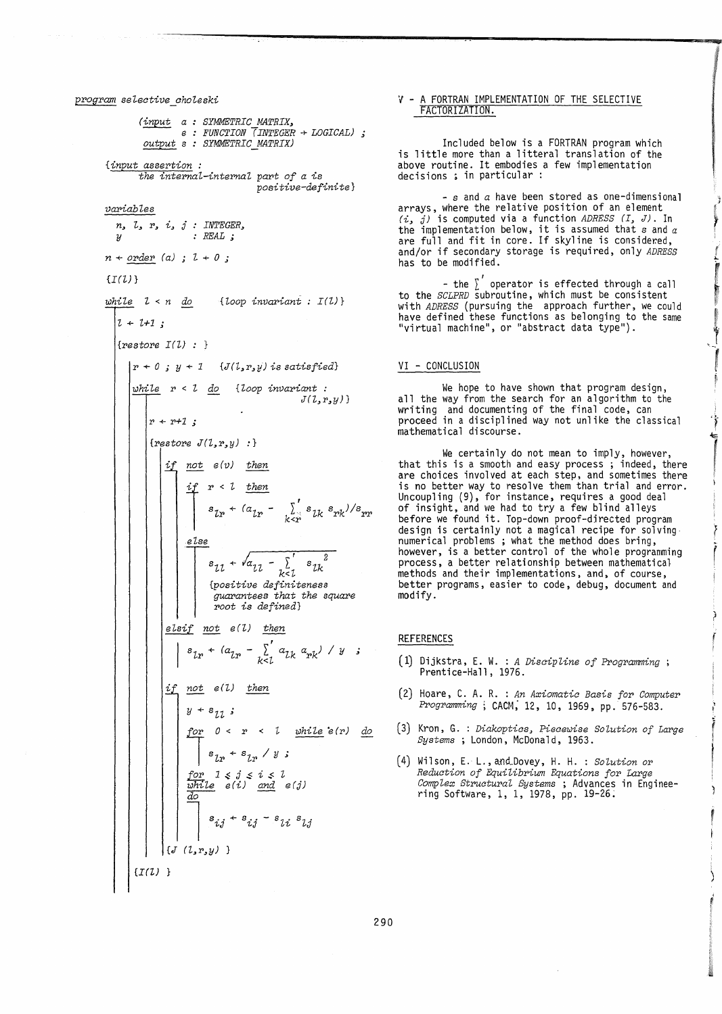# *program selective\_choleski (input a SYMMETRIC MATRIX, e output* <sup>s</sup> *FUNCTION (INTEGER* + *LOGICAL) ; SYMMETRIC MATRIX) {input assertion: the internaL-internal part of a is positive-definite} variables n,* l, r, i, j : *INTEGER.,*  y : *REAL; n* + *order (a)* l + *0* ,;  $\{I(U)\}$ *while* l < *n do {Loop invariant I(l)}*   $l + l + 1$ ; {restore *I(Z)* : }  $\begin{cases} r + 0 \text{ } j \text{ } y + 1 \text{ } & \text{ } \{J(l, r, y) \text{ is satisfied}\} \end{cases}$ *whi'le* r < Z *do {'loop invariant : J(Z.,r,y)* }  $|r + r + 1;$ *{restore J(Z,r.,y)* :} *if* not  $e(v)$  then  $\int_{0}^{1} \frac{r}{s} \cos \theta \, dr \sin \theta \, dr$ <br>  $\int_{0}^{1} \frac{r}{s} \cos \theta \, dr$ <br>  $\int_{0}^{1} \frac{r}{s} \cos \theta \, dr$  $s_{lr}$  +  $(a_{lr} - \sum_{k < r} s_{lk} s_{rk})/s_{rr}$ *{I(Z) e'lse*   $s_{1l} + \sqrt{a_{1l}} - \sum_{k \leq l} s_{lk}^2$ <br>{positive definiteness<br>*guarantees that the series*<br>root is defined}<br>*if not e(l) then {positive definiteness guarantees that the square root is defined} elsif not e* (Z) *then*   $s_{lr}$  +  $(a_{lr} - \sum_{k=1}^{r} a_{lk} a_{rk}) / y$  ; *if* not e(l) then  $y + s_{11}$ ; .l.ef *0* < r <: *L 7;Jhi'le* 'e *(1") do*   $s_{1r} + s_{1r} / y$ ;  $~for~1 \leq i \leq i \leq l$  $\frac{\text{white}}{\text{d}o}$   $e(i)$  and  $e(j)$  $s_{ij}$  +  $s_{ij}$  -  $s_{li}$   $s_{lj}$  $\left\{J (L, r, y) \right\}$

### v - A FORTRAN IMPLEMENTATION OF THE SELECTIVE FACTORIZATION.

Included below is a FORTRAN program which is little more than a litteral translation of the above routine. It embodies a few implementation decisions; in particular:

- s and *a* have been stored as one-dimensional arrays, where the relative position of an element *(i,* j) is computed via a function *ADRESS (I, J).* In the implementation below, it is assumed that  $s$  and  $a$ are full and fit in core. If skyline is considered, and/or if secondary storage is required, only *ADRESS* 

- the  $\sum'$  operator is effected through a call to the *SCLPRD* subroutine, which must be consistent with *ADRESS* (pursuing the approach further, we could have defined these functions as belonging to the same "virtual machine", or "abstract data type").

### VI - CONCLUSION

We hope to have shown that program design, all the way from the search for an algorithm to the writing and documenting of the final code, can proceed in a disciplined way not unlike the classical mathematical discourse.

We certainly do not mean to imply, however, that this is a smooth and easy process ; indeed, there are choices involved at each step, and sometimes there is no better way to resolve them than trial and error. Uncoupling (9), for instance, requires a good deal of insight, and we had to try a few blind alleys before we found it. Top-down proof-directed program<br>design is certainly not a magical recipe for solving design is certainly not a magical recipe for solving<br>numerical problems ; what the method does bring, however, is a better control of the whole programming process, a better relationship between mathematical methods and their implementations, and, of course, better programs, easier to code, debug, document and modify.

## REFERENCES

- (1) Dijkstra, E. W. : *A Discipline of Programming;*  Prentice-Hall, 1976.
- (2) Hoare, C. A. R. : *An Axiomatic Basis for Computer Programming;* CACM; 12, 10, 1969, pp. 576-583.
- (3) Kron, G. : *Diakoptics, Piecewise SoZution of Large Systems;* London, McDonald, 1963.
- (4) Wilson, E. L., and\_Dovey, H. H. : *SoLution* or *Reduction of Equi'librium Equations for Large CompLex StructuraL Systems* ; Advances in Enginee- ring Software, 1, 1, 1978, pp. 19-26;

290